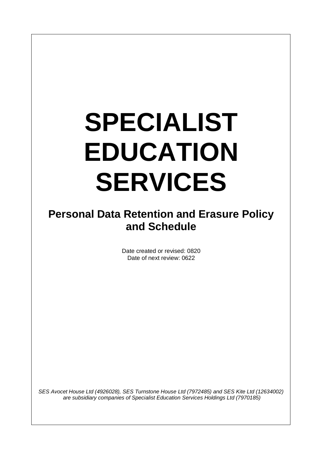# **SPECIALIST EDUCATION SERVICES**

## **Personal Data Retention and Erasure Policy and Schedule**

Date created or revised: 0820 Date of next review: 0622

*SES Avocet House Ltd (4926028), SES Turnstone House Ltd (7972485) and SES Kite Ltd (12634002) are subsidiary companies of Specialist Education Services Holdings Ltd (7970185)*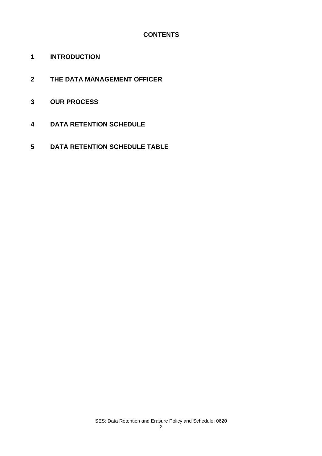### **CONTENTS**

- **INTRODUCTION**
- **THE DATA MANAGEMENT OFFICER**
- **OUR PROCESS**
- **DATA RETENTION SCHEDULE**
- **DATA RETENTION SCHEDULE TABLE**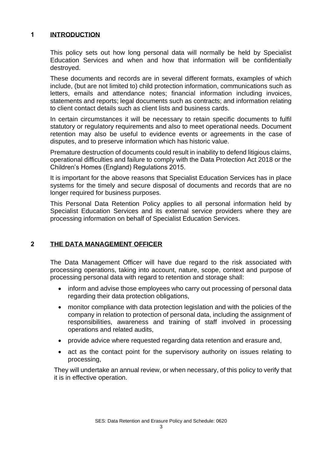#### **1 INTRODUCTION**

This policy sets out how long personal data will normally be held by Specialist Education Services and when and how that information will be confidentially destroyed.

These documents and records are in several different formats, examples of which include, (but are not limited to) child protection information, communications such as letters, emails and attendance notes; financial information including invoices, statements and reports; legal documents such as contracts; and information relating to client contact details such as client lists and business cards.

In certain circumstances it will be necessary to retain specific documents to fulfil statutory or regulatory requirements and also to meet operational needs. Document retention may also be useful to evidence events or agreements in the case of disputes, and to preserve information which has historic value.

Premature destruction of documents could result in inability to defend litigious claims, operational difficulties and failure to comply with the Data Protection Act 2018 or the Children's Homes (England) Regulations 2015.

It is important for the above reasons that Specialist Education Services has in place systems for the timely and secure disposal of documents and records that are no longer required for business purposes.

This Personal Data Retention Policy applies to all personal information held by Specialist Education Services and its external service providers where they are processing information on behalf of Specialist Education Services.

#### **2 THE DATA MANAGEMENT OFFICER**

The Data Management Officer will have due regard to the risk associated with processing operations, taking into account, nature, scope, context and purpose of processing personal data with regard to retention and storage shall:

- inform and advise those employees who carry out processing of personal data regarding their data protection obligations,
- monitor compliance with data protection legislation and with the policies of the company in relation to protection of personal data, including the assignment of responsibilities, awareness and training of staff involved in processing operations and related audits,
- provide advice where requested regarding data retention and erasure and,
- act as the contact point for the supervisory authority on issues relating to processing,

They will undertake an annual review, or when necessary, of this policy to verify that it is in effective operation.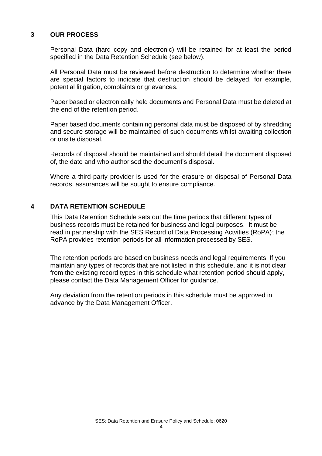#### **3 OUR PROCESS**

Personal Data (hard copy and electronic) will be retained for at least the period specified in the Data Retention Schedule (see below).

All Personal Data must be reviewed before destruction to determine whether there are special factors to indicate that destruction should be delayed, for example, potential litigation, complaints or grievances.

Paper based or electronically held documents and Personal Data must be deleted at the end of the retention period.

Paper based documents containing personal data must be disposed of by shredding and secure storage will be maintained of such documents whilst awaiting collection or onsite disposal.

Records of disposal should be maintained and should detail the document disposed of, the date and who authorised the document's disposal.

Where a third-party provider is used for the erasure or disposal of Personal Data records, assurances will be sought to ensure compliance.

#### **4 DATA RETENTION SCHEDULE**

This Data Retention Schedule sets out the time periods that different types of business records must be retained for business and legal purposes. It must be read in partnership with the SES Record of Data Processing Actvities (RoPA); the RoPA provides retention periods for all information processed by SES.

The retention periods are based on business needs and legal requirements. If you maintain any types of records that are not listed in this schedule, and it is not clear from the existing record types in this schedule what retention period should apply, please contact the Data Management Officer for guidance.

Any deviation from the retention periods in this schedule must be approved in advance by the Data Management Officer.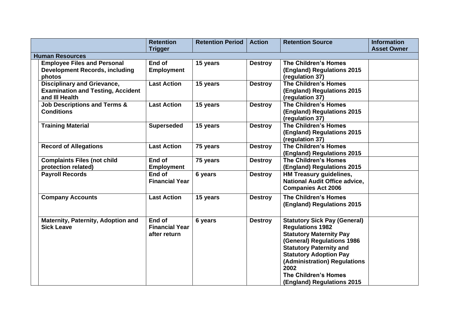|                        |                                           | <b>Retention</b>      | <b>Retention Period</b> | <b>Action</b>  | <b>Retention Source</b>              | <b>Information</b> |  |  |  |
|------------------------|-------------------------------------------|-----------------------|-------------------------|----------------|--------------------------------------|--------------------|--|--|--|
|                        |                                           | <b>Trigger</b>        |                         |                |                                      | <b>Asset Owner</b> |  |  |  |
| <b>Human Resources</b> |                                           |                       |                         |                |                                      |                    |  |  |  |
|                        | <b>Employee Files and Personal</b>        | End of                | 15 years                | <b>Destroy</b> | The Children's Homes                 |                    |  |  |  |
|                        | <b>Development Records, including</b>     | <b>Employment</b>     |                         |                | (England) Regulations 2015           |                    |  |  |  |
|                        | photos                                    |                       |                         |                | (regulation 37)                      |                    |  |  |  |
|                        | <b>Disciplinary and Grievance,</b>        | <b>Last Action</b>    | 15 years                | <b>Destroy</b> | <b>The Children's Homes</b>          |                    |  |  |  |
|                        | <b>Examination and Testing, Accident</b>  |                       |                         |                | (England) Regulations 2015           |                    |  |  |  |
|                        | and III Health                            |                       |                         |                | (regulation 37)                      |                    |  |  |  |
|                        | <b>Job Descriptions and Terms &amp;</b>   | <b>Last Action</b>    | 15 years                | <b>Destroy</b> | <b>The Children's Homes</b>          |                    |  |  |  |
|                        | <b>Conditions</b>                         |                       |                         |                | (England) Regulations 2015           |                    |  |  |  |
|                        |                                           |                       |                         |                | (regulation 37)                      |                    |  |  |  |
|                        | <b>Training Material</b>                  | <b>Superseded</b>     | 15 years                | <b>Destroy</b> | The Children's Homes                 |                    |  |  |  |
|                        |                                           |                       |                         |                | (England) Regulations 2015           |                    |  |  |  |
|                        |                                           |                       |                         |                | (regulation 37)                      |                    |  |  |  |
|                        | <b>Record of Allegations</b>              | <b>Last Action</b>    | 75 years                | <b>Destroy</b> | The Children's Homes                 |                    |  |  |  |
|                        |                                           |                       |                         |                | (England) Regulations 2015           |                    |  |  |  |
|                        | <b>Complaints Files (not child</b>        | End of                | 75 years                | <b>Destroy</b> | The Children's Homes                 |                    |  |  |  |
|                        | protection related)                       | <b>Employment</b>     |                         |                | (England) Regulations 2015           |                    |  |  |  |
|                        | <b>Payroll Records</b>                    | End of                | 6 years                 | <b>Destroy</b> | HM Treasury guidelines,              |                    |  |  |  |
|                        |                                           | <b>Financial Year</b> |                         |                | <b>National Audit Office advice,</b> |                    |  |  |  |
|                        |                                           |                       |                         |                | <b>Companies Act 2006</b>            |                    |  |  |  |
|                        | <b>Company Accounts</b>                   | <b>Last Action</b>    | 15 years                | <b>Destroy</b> | The Children's Homes                 |                    |  |  |  |
|                        |                                           |                       |                         |                | (England) Regulations 2015           |                    |  |  |  |
|                        |                                           |                       |                         |                |                                      |                    |  |  |  |
|                        | <b>Maternity, Paternity, Adoption and</b> | End of                | 6 years                 | <b>Destroy</b> | <b>Statutory Sick Pay (General)</b>  |                    |  |  |  |
|                        | <b>Sick Leave</b>                         | <b>Financial Year</b> |                         |                | <b>Regulations 1982</b>              |                    |  |  |  |
|                        |                                           | after return          |                         |                | <b>Statutory Maternity Pay</b>       |                    |  |  |  |
|                        |                                           |                       |                         |                | (General) Regulations 1986           |                    |  |  |  |
|                        |                                           |                       |                         |                | <b>Statutory Paternity and</b>       |                    |  |  |  |
|                        |                                           |                       |                         |                | <b>Statutory Adoption Pay</b>        |                    |  |  |  |
|                        |                                           |                       |                         |                | (Administration) Regulations         |                    |  |  |  |
|                        |                                           |                       |                         |                | 2002                                 |                    |  |  |  |
|                        |                                           |                       |                         |                | The Children's Homes                 |                    |  |  |  |
|                        |                                           |                       |                         |                | (England) Regulations 2015           |                    |  |  |  |